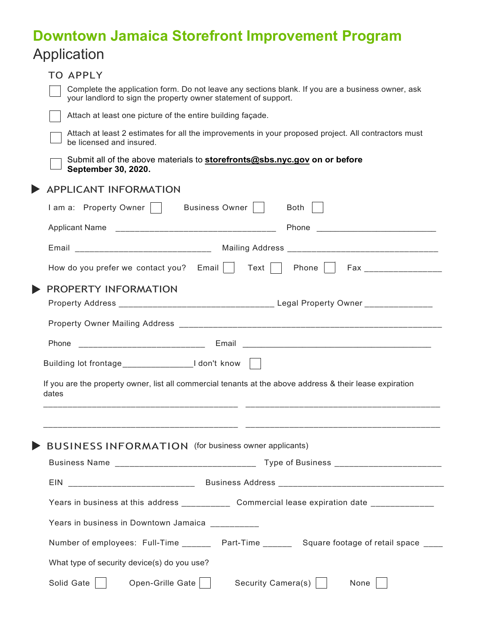## **Downtown Jamaica Storefront Improvement Program** Application

| <b>TO APPLY</b>                                                                                                                                                                                                               |
|-------------------------------------------------------------------------------------------------------------------------------------------------------------------------------------------------------------------------------|
| Complete the application form. Do not leave any sections blank. If you are a business owner, ask<br>your landlord to sign the property owner statement of support.                                                            |
| Attach at least one picture of the entire building façade.                                                                                                                                                                    |
| Attach at least 2 estimates for all the improvements in your proposed project. All contractors must<br>be licensed and insured.                                                                                               |
| Submit all of the above materials to <b>storefronts@sbs.nyc.gov on or before</b><br>September 30, 2020.                                                                                                                       |
| <b>APPLICANT INFORMATION</b>                                                                                                                                                                                                  |
| I am a: Property Owner     Business Owner    <br>Both                                                                                                                                                                         |
| Phone and the contract of the contract of the contract of the contract of the contract of the contract of the contract of the contract of the contract of the contract of the contract of the contract of the contract of the |
| Email _______________________________ Mailing Address __________________________                                                                                                                                              |
| How do you prefer we contact you? Email   Text     Phone     Fax _______________                                                                                                                                              |
| PROPERTY INFORMATION                                                                                                                                                                                                          |
|                                                                                                                                                                                                                               |
|                                                                                                                                                                                                                               |
| Phone                                                                                                                                                                                                                         |
| Building lot frontage_________________________I don't know                                                                                                                                                                    |
| If you are the property owner, list all commercial tenants at the above address & their lease expiration<br>dates                                                                                                             |
|                                                                                                                                                                                                                               |
|                                                                                                                                                                                                                               |
| <b>BUSINESS INFORMATION</b> (for business owner applicants)                                                                                                                                                                   |
|                                                                                                                                                                                                                               |
| EIN                                                                                                                                                                                                                           |
| Years in business at this address ________________ Commercial lease expiration date ______________                                                                                                                            |
| Years in business in Downtown Jamaica _________                                                                                                                                                                               |
| Number of employees: Full-Time _________ Part-Time _________ Square footage of retail space _____                                                                                                                             |
| What type of security device(s) do you use?                                                                                                                                                                                   |
| Solid Gate<br>Open-Grille Gate     Security Camera(s)    <br>None                                                                                                                                                             |